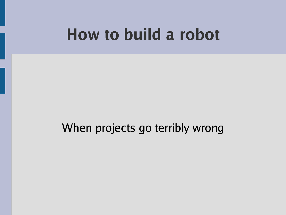#### **How to build a robot**

#### When projects go terribly wrong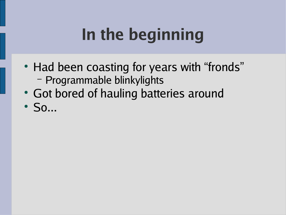# **In the beginning**

- Had been coasting for years with "fronds" – Programmable blinkylights
- Got bored of hauling batteries around
- $\cdot$  So...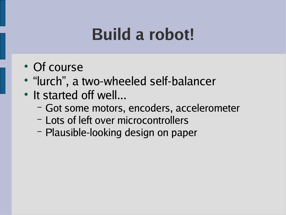### **Build a robot!**

- Of course
- "lurch", a two-wheeled self-balancer
- It started off well...
	- Got some motors, encoders, accelerometer
	- Lots of left over microcontrollers
	- Plausible-looking design on paper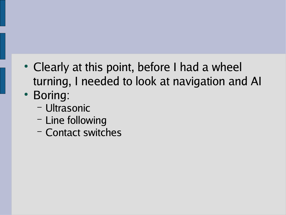- Clearly at this point, before I had a wheel turning, I needed to look at navigation and AI
- Boring:
	- Ultrasonic
	- Line following
	- Contact switches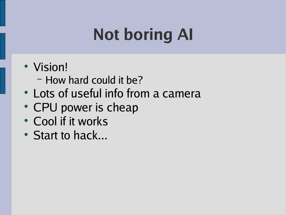# **Not boring AI**

- Vision!
	- How hard could it be?
- Lots of useful info from a camera
- CPU power is cheap
- Cool if it works
- Start to hack...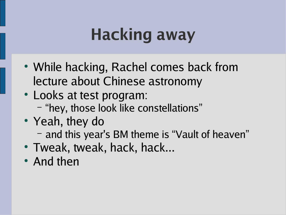# **Hacking away**

- While hacking, Rachel comes back from lecture about Chinese astronomy
- Looks at test program: – "hey, those look like constellations"
- Yeah, they do – and this year's BM theme is "Vault of heaven"
- Tweak, tweak, hack, hack...
- And then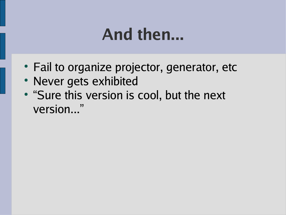#### **And then...**

- Fail to organize projector, generator, etc
- Never gets exhibited
- "Sure this version is cool, but the next version..."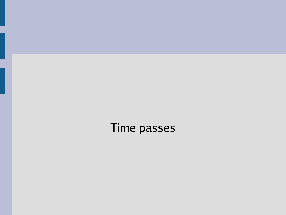Time passes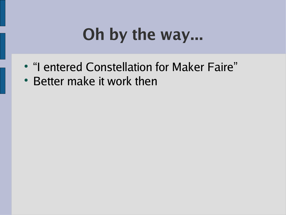# **Oh by the way...**

- "I entered Constellation for Maker Faire"
- Better make it work then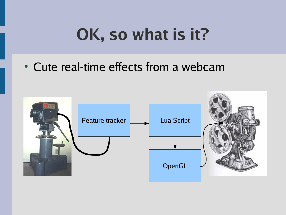## **OK, so what is it?**

#### • Cute real-time effects from a webcam

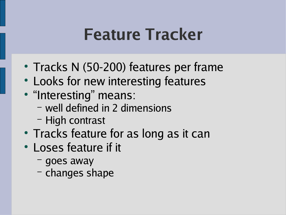#### **Feature Tracker**

- Tracks N (50-200) features per frame
- Looks for new interesting features
- "Interesting" means:
	- well defined in 2 dimensions
	- High contrast
- Tracks feature for as long as it can
- Loses feature if it
	- goes away
	- changes shape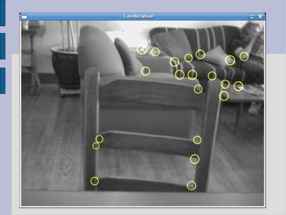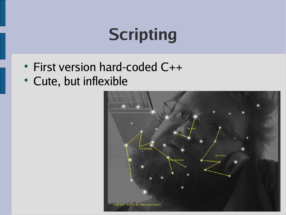## **Scripting**

- First version hard-coded C++
- Cute, but inflexible

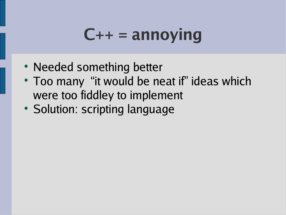### **C++ = annoying**

- Needed something better
- Too many "it would be neat if" ideas which were too fiddley to implement
- Solution: scripting language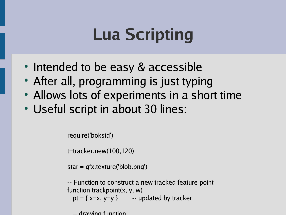## **Lua Scripting**

- Intended to be easy & accessible
- After all, programming is just typing
- Allows lots of experiments in a short time
- Useful script in about 30 lines:

require('bokstd')

t=tracker.new(100,120)

star = gfx.texture('blob.png')

-- Function to construct a new tracked feature point function trackpoint(x, y, w) pt =  $\{x=x, y=y\}$  -- updated by tracker

-- drawing function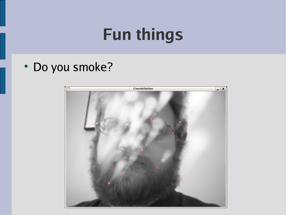### **Fun things**

• Do you smoke?

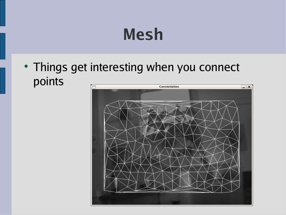### **Mesh**

• Things get interesting when you connect points**Constellation** 

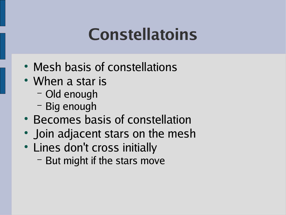### **Constellatoins**

- Mesh basis of constellations
- When a star is
	- Old enough
	- Big enough
- Becomes basis of constellation
- Join adjacent stars on the mesh
- Lines don't cross initially
	- But might if the stars move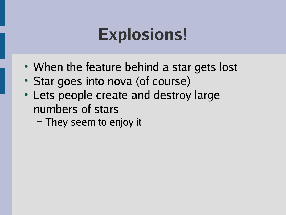### **Explosions!**

- When the feature behind a star gets lost
- Star goes into nova (of course)
- Lets people create and destroy large numbers of stars
	- They seem to enjoy it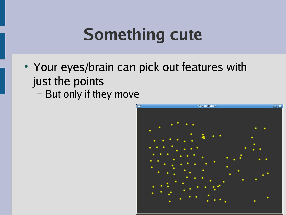## **Something cute**

- Your eyes/brain can pick out features with just the points
	- But only if they move

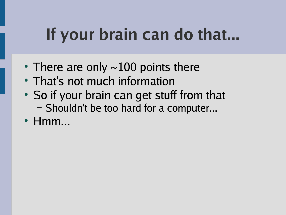## **If your brain can do that...**

- There are only  $\sim$ 100 points there
- That's not much information
- So if your brain can get stuff from that – Shouldn't be too hard for a computer...
- $\cdot$  Hmm...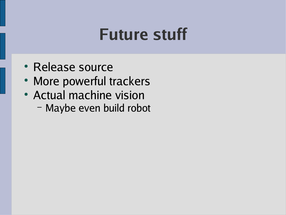#### **Future stuff**

- Release source
- More powerful trackers
- Actual machine vision
	- Maybe even build robot